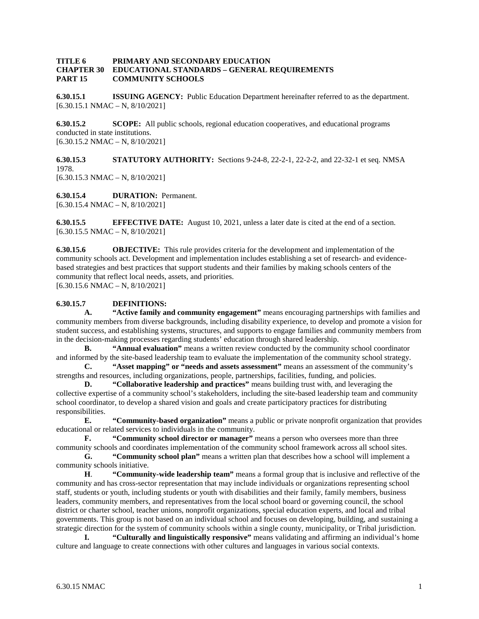#### **TITLE 6 PRIMARY AND SECONDARY EDUCATION CHAPTER 30 EDUCATIONAL STANDARDS – GENERAL REQUIREMENTS PART 15 COMMUNITY SCHOOLS**

**6.30.15.1 ISSUING AGENCY:** Public Education Department hereinafter referred to as the department. [6.30.15.1 NMAC – N, 8/10/2021]

**6.30.15.2 SCOPE:** All public schools, regional education cooperatives, and educational programs conducted in state institutions.  $[6.30.15.2 \text{ NMAC} - \text{N}, 8/10/2021]$ 

**6.30.15.3 STATUTORY AUTHORITY:** Sections 9-24-8, 22-2-1, 22-2-2, and 22-32-1 et seq. NMSA 1978.  $[6.30.15.3 \text{ NMAC} - \text{N}, 8/10/2021]$ 

**6.30.15.4 DURATION:** Permanent. [6.30.15.4 NMAC – N, 8/10/2021]

**6.30.15.5 EFFECTIVE DATE:** August 10, 2021, unless a later date is cited at the end of a section. [6.30.15.5 NMAC – N, 8/10/2021]

**6.30.15.6 OBJECTIVE:** This rule provides criteria for the development and implementation of the community schools act. Development and implementation includes establishing a set of research- and evidencebased strategies and best practices that support students and their families by making schools centers of the community that reflect local needs, assets, and priorities.  $[6.30.15.6 \text{ NMAC} - \text{N}, 8/10/2021]$ 

**6.30.15.7 DEFINITIONS:**

**A. "Active family and community engagement"** means encouraging partnerships with families and community members from diverse backgrounds, including disability experience, to develop and promote a vision for student success, and establishing systems, structures, and supports to engage families and community members from in the decision-making processes regarding students' education through shared leadership.

**B. "Annual evaluation"** means a written review conducted by the community school coordinator and informed by the site-based leadership team to evaluate the implementation of the community school strategy.

**C. "Asset mapping" or "needs and assets assessment"** means an assessment of the community's strengths and resources, including organizations, people, partnerships, facilities, funding, and policies.

**D. "Collaborative leadership and practices"** means building trust with, and leveraging the collective expertise of a community school's stakeholders, including the site-based leadership team and community school coordinator, to develop a shared vision and goals and create participatory practices for distributing responsibilities.

**E. "Community-based organization"** means a public or private nonprofit organization that provides educational or related services to individuals in the community.

**F. "Community school director or manager"** means a person who oversees more than three community schools and coordinates implementation of the community school framework across all school sites.

**G. "Community school plan"** means a written plan that describes how a school will implement a community schools initiative.

**H**. **"Community-wide leadership team"** means a formal group that is inclusive and reflective of the community and has cross-sector representation that may include individuals or organizations representing school staff, students or youth, including students or youth with disabilities and their family, family members, business leaders, community members, and representatives from the local school board or governing council, the school district or charter school, teacher unions, nonprofit organizations, special education experts, and local and tribal governments. This group is not based on an individual school and focuses on developing, building, and sustaining a strategic direction for the system of community schools within a single county, municipality, or Tribal jurisdiction.

**I. "Culturally and linguistically responsive"** means validating and affirming an individual's home culture and language to create connections with other cultures and languages in various social contexts.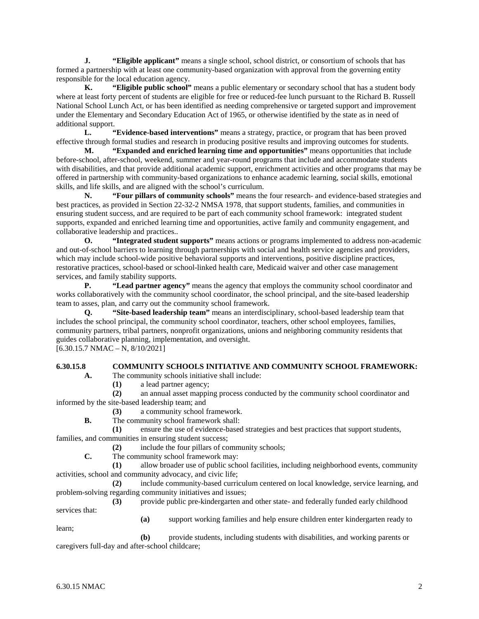**J. "Eligible applicant"** means a single school, school district, or consortium of schools that has formed a partnership with at least one community-based organization with approval from the governing entity responsible for the local education agency.

**K. "Eligible public school"** means a public elementary or secondary school that has a student body where at least forty percent of students are eligible for free or reduced-fee lunch pursuant to the Richard B. Russell National School Lunch Act, or has been identified as needing comprehensive or targeted support and improvement under the Elementary and Secondary Education Act of 1965, or otherwise identified by the state as in need of additional support.

**L. "Evidence-based interventions"** means a strategy, practice, or program that has been proved effective through formal studies and research in producing positive results and improving outcomes for students.

**M. "Expanded and enriched learning time and opportunities"** means opportunities that include before-school, after-school, weekend, summer and year-round programs that include and accommodate students with disabilities, and that provide additional academic support, enrichment activities and other programs that may be offered in partnership with community-based organizations to enhance academic learning, social skills, emotional skills, and life skills, and are aligned with the school's curriculum.

**N. "Four pillars of community schools"** means the four research- and evidence-based strategies and best practices, as provided in Section 22-32-2 NMSA 1978, that support students, families, and communities in ensuring student success, and are required to be part of each community school framework: integrated student supports, expanded and enriched learning time and opportunities, active family and community engagement, and collaborative leadership and practices..<br>O. "Integrated student

**O. "Integrated student supports"** means actions or programs implemented to address non-academic and out-of-school barriers to learning through partnerships with social and health service agencies and providers, which may include school-wide positive behavioral supports and interventions, positive discipline practices, restorative practices, school-based or school-linked health care, Medicaid waiver and other case management services, and family stability supports.<br>P. "Lead partner agen

**"Lead partner agency"** means the agency that employs the community school coordinator and works collaboratively with the community school coordinator, the school principal, and the site-based leadership team to asses, plan, and carry out the community school framework.

**Q. "Site-based leadership team"** means an interdisciplinary, school-based leadership team that includes the school principal, the community school coordinator, teachers, other school employees, families, community partners, tribal partners, nonprofit organizations, unions and neighboring community residents that guides collaborative planning, implementation, and oversight.

 $[6.30.15.7 \text{ NMAC} - \text{N}, 8/10/2021]$ 

### **6.30.15.8 COMMUNITY SCHOOLS INITIATIVE AND COMMUNITY SCHOOL FRAMEWORK:**

**A.** The community schools initiative shall include:

**(1)** a lead partner agency;

**(2)** an annual asset mapping process conducted by the community school coordinator and informed by the site-based leadership team; and

- **(3)** a community school framework.
- **B.** The community school framework shall:

**(1)** ensure the use of evidence-based strategies and best practices that support students, families, and communities in ensuring student success;

**(2)** include the four pillars of community schools;

**C.** The community school framework may:

**(1)** allow broader use of public school facilities, including neighborhood events, community activities, school and community advocacy, and civic life;

**(2)** include community-based curriculum centered on local knowledge, service learning, and problem-solving regarding community initiatives and issues;

**(3)** provide public pre-kindergarten and other state- and federally funded early childhood services that:

**(a)** support working families and help ensure children enter kindergarten ready to

**(b)** provide students, including students with disabilities, and working parents or caregivers full-day and after-school childcare;

learn;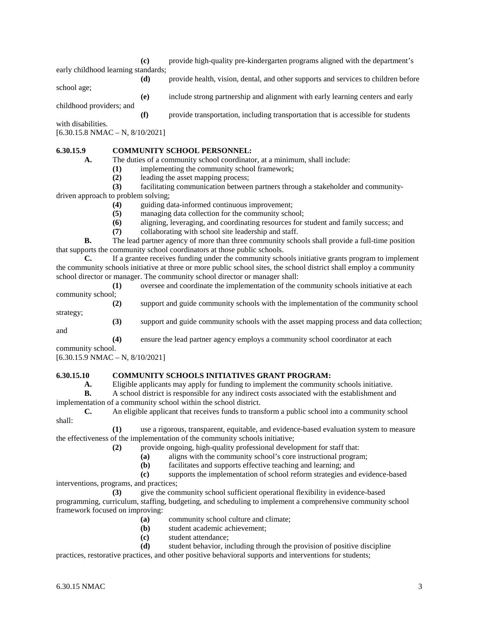**(c)** provide high-quality pre-kindergarten programs aligned with the department's early childhood learning standards;

school age;

**(d)** provide health, vision, dental, and other supports and services to children before

childhood providers; and

**(f)** provide transportation, including transportation that is accessible for students

**(e)** include strong partnership and alignment with early learning centers and early

with disabilities.

[6.30.15.8 NMAC – N, 8/10/2021]

# **6.30.15.9 COMMUNITY SCHOOL PERSONNEL:**

**A.** The duties of a community school coordinator, at a minimum, shall include:

- **(1)** implementing the community school framework;
- **(2)** leading the asset mapping process;

**(3)** facilitating communication between partners through a stakeholder and communitydriven approach to problem solving;

- **(4)** guiding data-informed continuous improvement;
	- **(5)** managing data collection for the community school;
- **(6)** aligning, leveraging, and coordinating resources for student and family success; and
- **(7)** collaborating with school site leadership and staff.

**B.** The lead partner agency of more than three community schools shall provide a full-time position that supports the community school coordinators at those public schools.

**C.** If a grantee receives funding under the community schools initiative grants program to implement the community schools initiative at three or more public school sites, the school district shall employ a community school director or manager. The community school director or manager shall:

**(1)** oversee and coordinate the implementation of the community schools initiative at each community school;

**(2)** support and guide community schools with the implementation of the community school strategy;

**(3)** support and guide community schools with the asset mapping process and data collection; and

**(4)** ensure the lead partner agency employs a community school coordinator at each

community school.

[6.30.15.9 NMAC – N, 8/10/2021]

# **6.30.15.10 COMMUNITY SCHOOLS INITIATIVES GRANT PROGRAM:**

**A.** Eligible applicants may apply for funding to implement the community schools initiative.

**B.** A school district is responsible for any indirect costs associated with the establishment and implementation of a community school within the school district.

**C.** An eligible applicant that receives funds to transform a public school into a community school shall:

**(1)** use a rigorous, transparent, equitable, and evidence-based evaluation system to measure the effectiveness of the implementation of the community schools initiative;

- **(2)** provide ongoing, high-quality professional development for staff that:
	- **(a)** aligns with the community school's core instructional program;<br>**(b)** facilitates and supports effective teaching and learning; and
		- facilitates and supports effective teaching and learning; and

**(c)** supports the implementation of school reform strategies and evidence-based interventions, programs, and practices;

**(3)** give the community school sufficient operational flexibility in evidence-based programming, curriculum, staffing, budgeting, and scheduling to implement a comprehensive community school framework focused on improving:

- **(a)** community school culture and climate;
- **(b)** student academic achievement;
- **(c)** student attendance;

**(d)** student behavior, including through the provision of positive discipline practices, restorative practices, and other positive behavioral supports and interventions for students;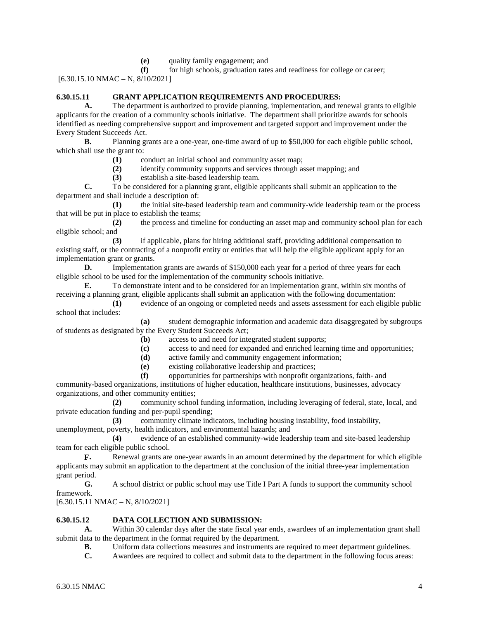**(e)** quality family engagement; and

**(f)** for high schools, graduation rates and readiness for college or career; [6.30.15.10 NMAC – N, 8/10/2021]

### **6.30.15.11 GRANT APPLICATION REQUIREMENTS AND PROCEDURES:**

**A.** The department is authorized to provide planning, implementation, and renewal grants to eligible applicants for the creation of a community schools initiative. The department shall prioritize awards for schools identified as needing comprehensive support and improvement and targeted support and improvement under the Every Student Succeeds Act.

**B.** Planning grants are a one-year, one-time award of up to \$50,000 for each eligible public school, which shall use the grant to:

**(1)** conduct an initial school and community asset map;<br>**(2)** identify community supports and services through as

**(2)** identify community supports and services through asset mapping; and

**(3)** establish a site-based leadership team.

**C.** To be considered for a planning grant, eligible applicants shall submit an application to the department and shall include a description of:

**(1)** the initial site-based leadership team and community-wide leadership team or the process that will be put in place to establish the teams;

**(2)** the process and timeline for conducting an asset map and community school plan for each eligible school; and

**(3)** if applicable, plans for hiring additional staff, providing additional compensation to existing staff, or the contracting of a nonprofit entity or entities that will help the eligible applicant apply for an implementation grant or grants.

**D.** Implementation grants are awards of \$150,000 each year for a period of three years for each eligible school to be used for the implementation of the community schools initiative.

**E.** To demonstrate intent and to be considered for an implementation grant, within six months of receiving a planning grant, eligible applicants shall submit an application with the following documentation:

**(1)** evidence of an ongoing or completed needs and assets assessment for each eligible public school that includes:

**(a)** student demographic information and academic data disaggregated by subgroups of students as designated by the Every Student Succeeds Act;

**(b)** access to and need for integrated student supports;

- **(c)** access to and need for expanded and enriched learning time and opportunities;
- **(d)** active family and community engagement information;
- **(e)** existing collaborative leadership and practices;

**(f)** opportunities for partnerships with nonprofit organizations, faith- and community-based organizations, institutions of higher education, healthcare institutions, businesses, advocacy organizations, and other community entities;

**(2)** community school funding information, including leveraging of federal, state, local, and private education funding and per-pupil spending;

**(3)** community climate indicators, including housing instability, food instability, unemployment, poverty, health indicators, and environmental hazards; and

**(4)** evidence of an established community-wide leadership team and site-based leadership team for each eligible public school.

**F.** Renewal grants are one-year awards in an amount determined by the department for which eligible applicants may submit an application to the department at the conclusion of the initial three-year implementation grant period.

**G.** A school district or public school may use Title I Part A funds to support the community school framework.

 $[6.30.15.11 \text{ NMAC} - \text{N}, 8/10/2021]$ 

### **6.30.15.12 DATA COLLECTION AND SUBMISSION:**

**A.** Within 30 calendar days after the state fiscal year ends, awardees of an implementation grant shall submit data to the department in the format required by the department.

**B.** Uniform data collections measures and instruments are required to meet department guidelines.

**C.** Awardees are required to collect and submit data to the department in the following focus areas: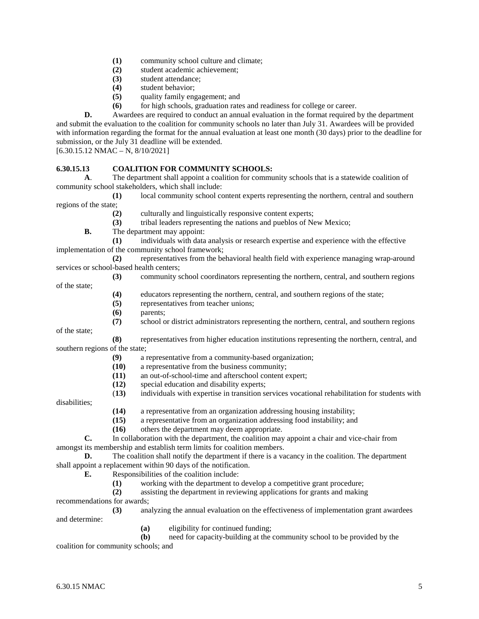- **(1)** community school culture and climate;
- **(2)** student academic achievement;
- **(3)** student attendance;
- **(4)** student behavior;
- **(5)** quality family engagement; and
- **(6)** for high schools, graduation rates and readiness for college or career.

**D.** Awardees are required to conduct an annual evaluation in the format required by the department and submit the evaluation to the coalition for community schools no later than July 31. Awardees will be provided with information regarding the format for the annual evaluation at least one month (30 days) prior to the deadline for submission, or the July 31 deadline will be extended.

 $[6.30.15.12 NMAC - N, 8/10/2021]$ 

#### **6.30.15.13 COALITION FOR COMMUNITY SCHOOLS:**

**A**. The department shall appoint a coalition for community schools that is a statewide coalition of community school stakeholders, which shall include:

**(1)** local community school content experts representing the northern, central and southern regions of the state;

**(2)** culturally and linguistically responsive content experts;

**(3)** tribal leaders representing the nations and pueblos of New Mexico;

**B.** The department may appoint:

**(1)** individuals with data analysis or research expertise and experience with the effective implementation of the community school framework;

**(2)** representatives from the behavioral health field with experience managing wrap-around services or school-based health centers;

- **(3)** community school coordinators representing the northern, central, and southern regions
	- **(4)** educators representing the northern, central, and southern regions of the state;
	- **(5)** representatives from teacher unions;
	- **(6)** parents;
	- **(7)** school or district administrators representing the northern, central, and southern regions

of the state;

of the state;

**(8)** representatives from higher education institutions representing the northern, central, and southern regions of the state;

- **(9)** a representative from a community-based organization;
- **(10)** a representative from the business community;
- **(11)** an out-of-school-time and afterschool content expert;
- **(12)** special education and disability experts;
- (**13)** individuals with expertise in transition services vocational rehabilitation for students with

disabilities;

- **(14)** a representative from an organization addressing housing instability;
- **(15)** a representative from an organization addressing food instability; and

**(16)** others the department may deem appropriate.

**C.** In collaboration with the department, the coalition may appoint a chair and vice-chair from amongst its membership and establish term limits for coalition members.

**D.** The coalition shall notify the department if there is a vacancy in the coalition. The department shall appoint a replacement within 90 days of the notification.<br> **E.** Responsibilities of the coalition include:

**E.** Responsibilities of the coalition include:

- **(1)** working with the department to develop a competitive grant procedure;
- **(2)** assisting the department in reviewing applications for grants and making

recommendations for awards;

**(3)** analyzing the annual evaluation on the effectiveness of implementation grant awardees

and determine:

**(a)** eligibility for continued funding;

**(b)** need for capacity-building at the community school to be provided by the coalition for community schools; and